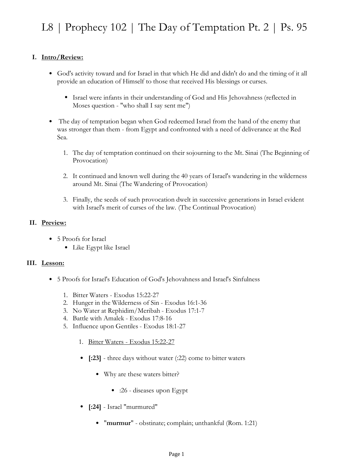## **I. Intro/Review:**

- God's activity toward and for Israel in that which He did and didn't do and the timing of it all provide an education of Himself to those that received His blessings or curses.
	- Israel were infants in their understanding of God and His Jehovahness (reflected in Moses question - "who shall I say sent me")
- The day of temptation began when God redeemed Israel from the hand of the enemy that was stronger than them - from Egypt and confronted with a need of deliverance at the Red Sea. •
	- The day of temptation continued on their sojourning to the Mt. Sinai (The Beginning of 1. Provocation)
	- 2. It continued and known well during the 40 years of Israel's wandering in the wilderness around Mt. Sinai (The Wandering of Provocation)
	- Finally, the seeds of such provocation dwelt in successive generations in Israel evident 3. with Israel's merit of curses of the law. (The Continual Provocation)

## **II. Preview:**

- 5 Proofs for Israel
	- Like Egypt like Israel

## **III. Lesson:**

- 5 Proofs for Israel's Education of God's Jehovahness and Israel's Sinfulness
	- 1. Bitter Waters Exodus 15:22-27
	- 2. Hunger in the Wilderness of Sin Exodus 16:1-36
	- 3. No Water at Rephidim/Meribah Exodus 17:1-7
	- 4. Battle with Amalek Exodus 17:8-16
	- 5. Influence upon Gentiles Exodus 18:1-27
		- 1. Bitter Waters Exodus 15:22-27
		- **[:23]** three days without water (:22) come to bitter waters
			- Why are these waters bitter?
				- :26 diseases upon Egypt
		- **[:24]** Israel "murmured"
			- "murmur" obstinate; complain; unthankful (Rom. 1:21)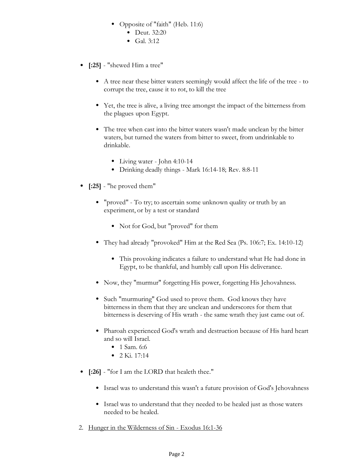- Opposite of "faith" (Heb. 11:6)
	- Deut. 32:20
	- Gal. 3:12
- **[:25]** "shewed Him a tree"
	- A tree near these bitter waters seemingly would affect the life of the tree to corrupt the tree, cause it to rot, to kill the tree
	- Yet, the tree is alive, a living tree amongst the impact of the bitterness from the plagues upon Egypt.
	- The tree when cast into the bitter waters wasn't made unclean by the bitter waters, but turned the waters from bitter to sweet, from undrinkable to drinkable.
		- Living water John 4:10-14
		- Drinking deadly things Mark 16:14-18; Rev. 8:8-11
- **[:25]** "he proved them"
	- "proved" To try; to ascertain some unknown quality or truth by an experiment, or by a test or standard
		- Not for God, but "proved" for them
	- They had already "provoked" Him at the Red Sea (Ps. 106:7; Ex. 14:10-12)
		- This provoking indicates a failure to understand what He had done in Egypt, to be thankful, and humbly call upon His deliverance.
	- Now, they "murmur" forgetting His power, forgetting His Jehovahness.
	- Such "murmuring" God used to prove them. God knows they have bitterness in them that they are unclean and underscores for them that bitterness is deserving of His wrath - the same wrath they just came out of.
	- Pharoah experienced God's wrath and destruction because of His hard heart and so will Israel.
		- 1 Sam. 6:6
		- 2 Ki. 17:14
- **[:26]** "for I am the LORD that healeth thee."
	- Israel was to understand this wasn't a future provision of God's Jehovahness
	- Israel was to understand that they needed to be healed just as those waters needed to be healed.
- 2. Hunger in the Wilderness of Sin Exodus 16:1-36